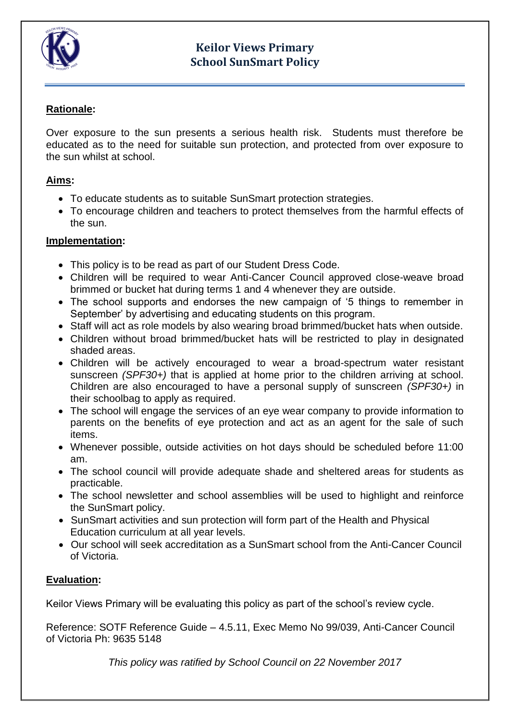

## **Keilor Views Primary School SunSmart Policy**

## **Rationale:**

Over exposure to the sun presents a serious health risk. Students must therefore be educated as to the need for suitable sun protection, and protected from over exposure to the sun whilst at school.

#### **Aims:**

- To educate students as to suitable SunSmart protection strategies.
- To encourage children and teachers to protect themselves from the harmful effects of the sun.

#### **Implementation:**

- This policy is to be read as part of our Student Dress Code.
- Children will be required to wear Anti-Cancer Council approved close-weave broad brimmed or bucket hat during terms 1 and 4 whenever they are outside.
- The school supports and endorses the new campaign of '5 things to remember in September' by advertising and educating students on this program.
- Staff will act as role models by also wearing broad brimmed/bucket hats when outside.
- Children without broad brimmed/bucket hats will be restricted to play in designated shaded areas.
- Children will be actively encouraged to wear a broad-spectrum water resistant sunscreen *(SPF30+)* that is applied at home prior to the children arriving at school. Children are also encouraged to have a personal supply of sunscreen *(SPF30+)* in their schoolbag to apply as required.
- The school will engage the services of an eye wear company to provide information to parents on the benefits of eye protection and act as an agent for the sale of such items.
- Whenever possible, outside activities on hot days should be scheduled before 11:00 am.
- The school council will provide adequate shade and sheltered areas for students as practicable.
- The school newsletter and school assemblies will be used to highlight and reinforce the SunSmart policy.
- SunSmart activities and sun protection will form part of the Health and Physical Education curriculum at all year levels.
- Our school will seek accreditation as a SunSmart school from the Anti-Cancer Council of Victoria.

### **Evaluation:**

Keilor Views Primary will be evaluating this policy as part of the school's review cycle.

Reference: SOTF Reference Guide – 4.5.11, Exec Memo No 99/039, Anti-Cancer Council of Victoria Ph: 9635 5148

*This policy was ratified by School Council on 22 November 2017*